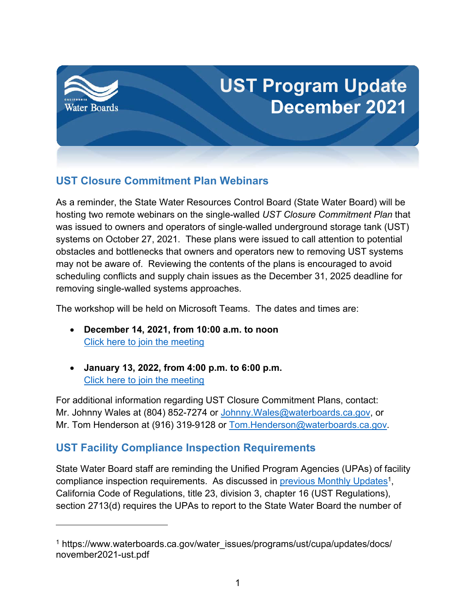

## **UST Closure Commitment Plan Webinars**

As a reminder, the State Water Resources Control Board (State Water Board) will be hosting two remote webinars on the single-walled *UST Closure Commitment Plan* that was issued to owners and operators of single-walled underground storage tank (UST) systems on October 27, 2021. These plans were issued to call attention to potential obstacles and bottlenecks that owners and operators new to removing UST systems may not be aware of. Reviewing the contents of the plans is encouraged to avoid scheduling conflicts and supply chain issues as the December 31, 2025 deadline for removing single-walled systems approaches.

The workshop will be held on Microsoft Teams. The dates and times are:

- · **December 14, 2021, from 10:00 a.m. to noon** [Click here to join the meeting](https://teams.microsoft.com/l/meetup-join/19%3ameeting_MmE3YTkyZjYtMTA0Yi00ZWU4LWE3MjItY2FlMWY0ZjhiMmUx%40thread.v2/0?context=%7b%22Tid%22%3a%22fe186a25-7d49-41e6-9941-05d2281d36c1%22%2c%22Oid%22%3a%224dfa19e1-3e4d-4d0d-95cb-d8e77468916b%22%7d)
- · **January 13, 2022, from 4:00 p.m. to 6:00 p.m.**  [Click here to join the meeting](https://teams.microsoft.com/l/meetup-join/19%3ameeting_YzY3OWE3MjEtZmJjMC00OWQxLWFhNzEtNzQ3NDA3MmI5YzMz%40thread.v2/0?context=%7b%22Tid%22%3a%22fe186a25-7d49-41e6-9941-05d2281d36c1%22%2c%22Oid%22%3a%224dfa19e1-3e4d-4d0d-95cb-d8e77468916b%22%7d)

For additional information regarding UST Closure Commitment Plans, contact: Mr. Johnny Wales at (804) 852-7274 or [Johnny.Wales@waterboards.ca.gov](mailto:Johnny.Wales@waterboards.ca.gov), or Mr. Tom Henderson at (916) 319-9128 or [Tom.Henderson@waterboards.ca.gov.](mailto:Tom.Henderson@waterboards.ca.gov)

## **UST Facility Compliance Inspection Requirements**

State Water Board staff are reminding the Unified Program Agencies (UPAs) of facility compliance inspection requirements. As discussed in <u>previous Monthly Updates</u>[1](#page-0-0), California Code of Regulations, title 23, division 3, chapter 16 (UST Regulations), section 2713(d) requires the UPAs to report to the State Water Board the number of

<span id="page-0-0"></span><sup>&</sup>lt;sup>1</sup> https://www.waterboards.ca.gov/water\_issues/programs/ust/cupa/updates/docs/ november2021-ust.pdf